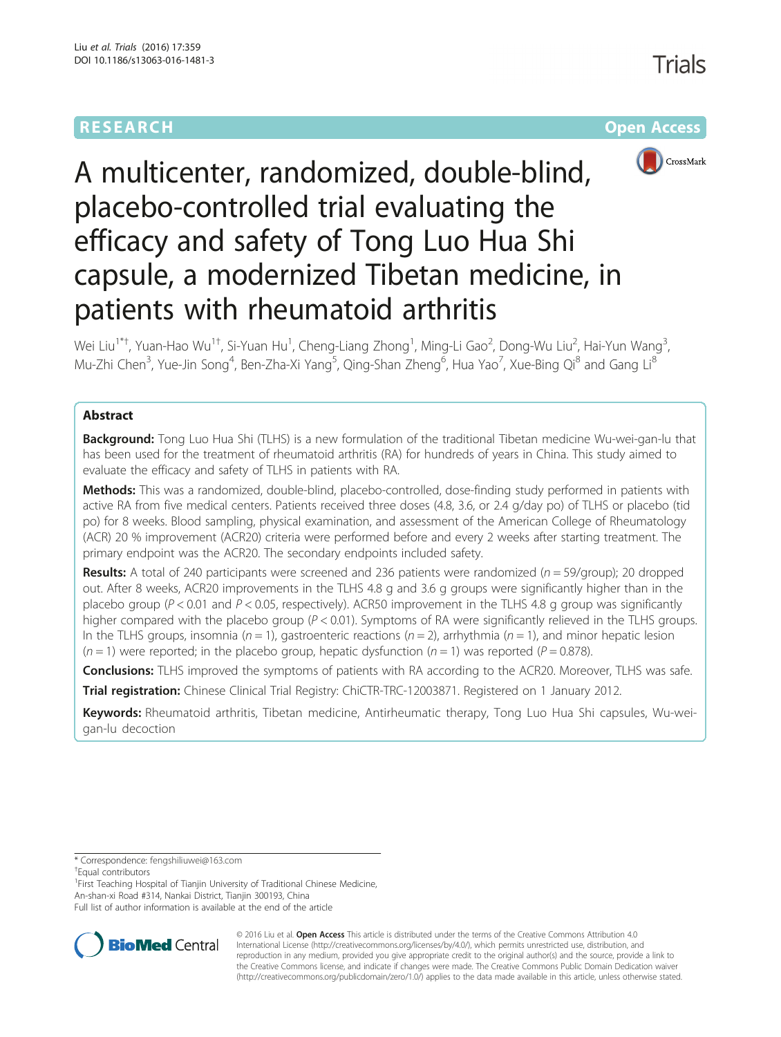# RESEARCH **RESEARCH CONSUMING THE CONSUMING THE CONSUMING TENS**

Trials





# A multicenter, randomized, double-blind, placebo-controlled trial evaluating the efficacy and safety of Tong Luo Hua Shi capsule, a modernized Tibetan medicine, in patients with rheumatoid arthritis

Wei Liu<sup>1\*†</sup>, Yuan-Hao Wu<sup>1†</sup>, Si-Yuan Hu<sup>1</sup>, Cheng-Liang Zhong<sup>1</sup>, Ming-Li Gao<sup>2</sup>, Dong-Wu Liu<sup>2</sup>, Hai-Yun Wang<sup>3</sup> , Mu-Zhi Chen<sup>3</sup>, Yue-Jin Song<sup>4</sup>, Ben-Zha-Xi Yang<sup>5</sup>, Qing-Shan Zheng<sup>6</sup>, Hua Yao<sup>7</sup>, Xue-Bing Qi<sup>8</sup> and Gang Li<sup>8</sup>

# Abstract

**Background:** Tong Luo Hua Shi (TLHS) is a new formulation of the traditional Tibetan medicine Wu-wei-gan-lu that has been used for the treatment of rheumatoid arthritis (RA) for hundreds of years in China. This study aimed to evaluate the efficacy and safety of TLHS in patients with RA.

Methods: This was a randomized, double-blind, placebo-controlled, dose-finding study performed in patients with active RA from five medical centers. Patients received three doses (4.8, 3.6, or 2.4 g/day po) of TLHS or placebo (tid po) for 8 weeks. Blood sampling, physical examination, and assessment of the American College of Rheumatology (ACR) 20 % improvement (ACR20) criteria were performed before and every 2 weeks after starting treatment. The primary endpoint was the ACR20. The secondary endpoints included safety.

**Results:** A total of 240 participants were screened and 236 patients were randomized ( $n = 59/$ group); 20 dropped out. After 8 weeks, ACR20 improvements in the TLHS 4.8 g and 3.6 g groups were significantly higher than in the placebo group ( $P < 0.01$  and  $P < 0.05$ , respectively). ACR50 improvement in the TLHS 4.8 g group was significantly higher compared with the placebo group ( $P < 0.01$ ). Symptoms of RA were significantly relieved in the TLHS groups. In the TLHS groups, insomnia ( $n = 1$ ), gastroenteric reactions ( $n = 2$ ), arrhythmia ( $n = 1$ ), and minor hepatic lesion  $(n = 1)$  were reported; in the placebo group, hepatic dysfunction  $(n = 1)$  was reported  $(P = 0.878)$ .

Conclusions: TLHS improved the symptoms of patients with RA according to the ACR20. Moreover, TLHS was safe.

**Trial registration:** Chinese Clinical Trial Registry: [ChiCTR-TRC-12003871.](http://www.chictr.org.cn/showproj.aspx?proj=5695) Registered on 1 January 2012.

Keywords: Rheumatoid arthritis, Tibetan medicine, Antirheumatic therapy, Tong Luo Hua Shi capsules, Wu-weigan-lu decoction

<sup>1</sup> First Teaching Hospital of Tianjin University of Traditional Chinese Medicine, An-shan-xi Road #314, Nankai District, Tianjin 300193, China

Full list of author information is available at the end of the article



© 2016 Liu et al. Open Access This article is distributed under the terms of the Creative Commons Attribution 4.0 International License [\(http://creativecommons.org/licenses/by/4.0/](http://creativecommons.org/licenses/by/4.0/)), which permits unrestricted use, distribution, and reproduction in any medium, provided you give appropriate credit to the original author(s) and the source, provide a link to the Creative Commons license, and indicate if changes were made. The Creative Commons Public Domain Dedication waiver [\(http://creativecommons.org/publicdomain/zero/1.0/](http://creativecommons.org/publicdomain/zero/1.0/)) applies to the data made available in this article, unless otherwise stated.

<sup>\*</sup> Correspondence: [fengshiliuwei@163.com](mailto:fengshiliuwei@163.com) †

<sup>&</sup>lt;sup>†</sup>Equal contributors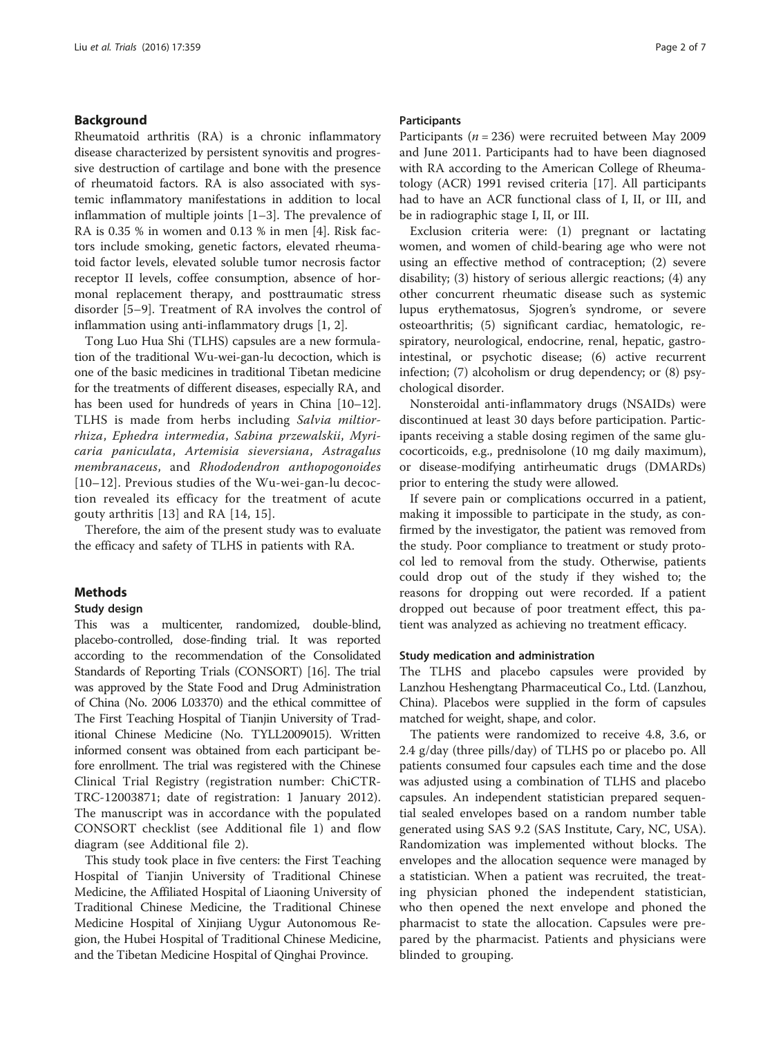# Background

Rheumatoid arthritis (RA) is a chronic inflammatory disease characterized by persistent synovitis and progressive destruction of cartilage and bone with the presence of rheumatoid factors. RA is also associated with systemic inflammatory manifestations in addition to local inflammation of multiple joints [\[1](#page-6-0)–[3\]](#page-6-0). The prevalence of RA is 0.35 % in women and 0.13 % in men [\[4](#page-6-0)]. Risk factors include smoking, genetic factors, elevated rheumatoid factor levels, elevated soluble tumor necrosis factor receptor II levels, coffee consumption, absence of hormonal replacement therapy, and posttraumatic stress disorder [[5](#page-6-0)–[9\]](#page-6-0). Treatment of RA involves the control of inflammation using anti-inflammatory drugs [[1, 2\]](#page-6-0).

Tong Luo Hua Shi (TLHS) capsules are a new formulation of the traditional Wu-wei-gan-lu decoction, which is one of the basic medicines in traditional Tibetan medicine for the treatments of different diseases, especially RA, and has been used for hundreds of years in China [\[10](#page-6-0)–[12](#page-6-0)]. TLHS is made from herbs including Salvia miltiorrhiza, Ephedra intermedia, Sabina przewalskii, Myricaria paniculata, Artemisia sieversiana, Astragalus membranaceus, and Rhododendron anthopogonoides [[10](#page-6-0)–[12\]](#page-6-0). Previous studies of the Wu-wei-gan-lu decoction revealed its efficacy for the treatment of acute gouty arthritis [[13\]](#page-6-0) and RA [[14, 15](#page-6-0)].

Therefore, the aim of the present study was to evaluate the efficacy and safety of TLHS in patients with RA.

# Methods

#### Study design

This was a multicenter, randomized, double-blind, placebo-controlled, dose-finding trial. It was reported according to the recommendation of the Consolidated Standards of Reporting Trials (CONSORT) [\[16\]](#page-6-0). The trial was approved by the State Food and Drug Administration of China (No. 2006 L03370) and the ethical committee of The First Teaching Hospital of Tianjin University of Traditional Chinese Medicine (No. TYLL2009015). Written informed consent was obtained from each participant before enrollment. The trial was registered with the Chinese Clinical Trial Registry (registration number: ChiCTR-TRC-12003871; date of registration: 1 January 2012). The manuscript was in accordance with the populated CONSORT checklist (see Additional file [1\)](#page-5-0) and flow diagram (see Additional file [2](#page-5-0)).

This study took place in five centers: the First Teaching Hospital of Tianjin University of Traditional Chinese Medicine, the Affiliated Hospital of Liaoning University of Traditional Chinese Medicine, the Traditional Chinese Medicine Hospital of Xinjiang Uygur Autonomous Region, the Hubei Hospital of Traditional Chinese Medicine, and the Tibetan Medicine Hospital of Qinghai Province.

#### Participants

Participants ( $n = 236$ ) were recruited between May 2009 and June 2011. Participants had to have been diagnosed with RA according to the American College of Rheumatology (ACR) 1991 revised criteria [\[17](#page-6-0)]. All participants had to have an ACR functional class of I, II, or III, and be in radiographic stage I, II, or III.

Exclusion criteria were: (1) pregnant or lactating women, and women of child-bearing age who were not using an effective method of contraception; (2) severe disability; (3) history of serious allergic reactions; (4) any other concurrent rheumatic disease such as systemic lupus erythematosus, Sjogren's syndrome, or severe osteoarthritis; (5) significant cardiac, hematologic, respiratory, neurological, endocrine, renal, hepatic, gastrointestinal, or psychotic disease; (6) active recurrent infection; (7) alcoholism or drug dependency; or (8) psychological disorder.

Nonsteroidal anti-inflammatory drugs (NSAIDs) were discontinued at least 30 days before participation. Participants receiving a stable dosing regimen of the same glucocorticoids, e.g., prednisolone (10 mg daily maximum), or disease-modifying antirheumatic drugs (DMARDs) prior to entering the study were allowed.

If severe pain or complications occurred in a patient, making it impossible to participate in the study, as confirmed by the investigator, the patient was removed from the study. Poor compliance to treatment or study protocol led to removal from the study. Otherwise, patients could drop out of the study if they wished to; the reasons for dropping out were recorded. If a patient dropped out because of poor treatment effect, this patient was analyzed as achieving no treatment efficacy.

#### Study medication and administration

The TLHS and placebo capsules were provided by Lanzhou Heshengtang Pharmaceutical Co., Ltd. (Lanzhou, China). Placebos were supplied in the form of capsules matched for weight, shape, and color.

The patients were randomized to receive 4.8, 3.6, or 2.4 g/day (three pills/day) of TLHS po or placebo po. All patients consumed four capsules each time and the dose was adjusted using a combination of TLHS and placebo capsules. An independent statistician prepared sequential sealed envelopes based on a random number table generated using SAS 9.2 (SAS Institute, Cary, NC, USA). Randomization was implemented without blocks. The envelopes and the allocation sequence were managed by a statistician. When a patient was recruited, the treating physician phoned the independent statistician, who then opened the next envelope and phoned the pharmacist to state the allocation. Capsules were prepared by the pharmacist. Patients and physicians were blinded to grouping.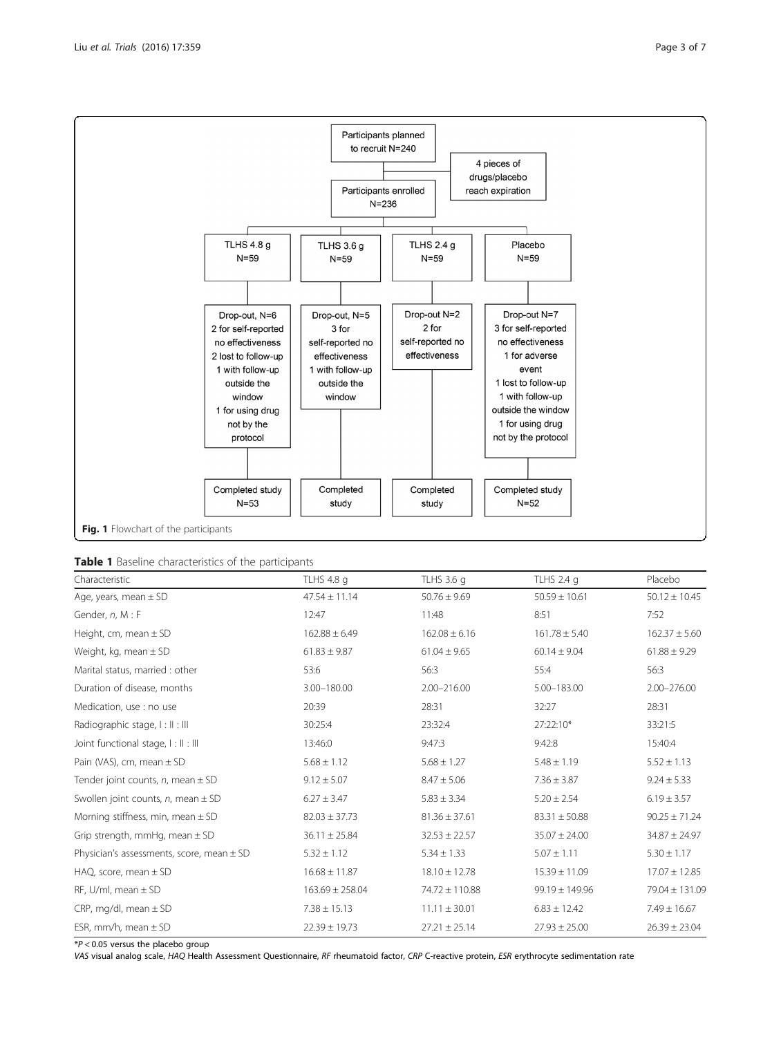<span id="page-2-0"></span>

## Table 1 Baseline characteristics of the participants

| Characteristic                                | TLHS 4.8 g          | TLHS 3.6 g        | TLHS 2.4 g         | Placebo           |
|-----------------------------------------------|---------------------|-------------------|--------------------|-------------------|
| Age, years, mean $\pm$ SD                     | $47.54 \pm 11.14$   | $50.76 \pm 9.69$  | $50.59 \pm 10.61$  | $50.12 \pm 10.45$ |
| Gender, n, M : F                              | 12:47               | 11:48             | 8:51               | 7:52              |
| Height, cm, mean $\pm$ SD                     | $162.88 \pm 6.49$   | $162.08 \pm 6.16$ | $161.78 \pm 5.40$  | $162.37 \pm 5.60$ |
| Weight, kg, mean $\pm$ SD                     | $61.83 \pm 9.87$    | $61.04 \pm 9.65$  | $60.14 \pm 9.04$   | $61.88 \pm 9.29$  |
| Marital status, married : other               | 53:6                | 56:3              | 55:4               | 56:3              |
| Duration of disease, months                   | 3.00-180.00         | $2.00 - 216.00$   | 5.00-183.00        | 2.00-276.00       |
| Medication, use : no use                      | 20:39               | 28:31             | 32:27              | 28:31             |
| Radiographic stage, I: II: III                | 30:25:4             | 23:32:4           | 27:22:10*          | 33:21:5           |
| Joint functional stage, I: II: III            | 13:46:0             | 9:47:3            | 9:42:8             | 15:40:4           |
| Pain (VAS), cm, mean $\pm$ SD                 | $5.68 \pm 1.12$     | $5.68 \pm 1.27$   | $5.48 \pm 1.19$    | $5.52 \pm 1.13$   |
| Tender joint counts, $n$ , mean $\pm$ SD      | $9.12 \pm 5.07$     | $8.47 \pm 5.06$   | $7.36 \pm 3.87$    | $9.24 \pm 5.33$   |
| Swollen joint counts, $n$ , mean $\pm$ SD     | $6.27 \pm 3.47$     | $5.83 \pm 3.34$   | $5.20 \pm 2.54$    | $6.19 \pm 3.57$   |
| Morning stiffness, min, mean $\pm$ SD         | $82.03 \pm 37.73$   | $81.36 \pm 37.61$ | $83.31 \pm 50.88$  | $90.25 \pm 71.24$ |
| Grip strength, mmHg, mean $\pm$ SD            | $36.11 \pm 25.84$   | $32.53 \pm 22.57$ | $35.07 \pm 24.00$  | $34.87 \pm 24.97$ |
| Physician's assessments, score, mean $\pm$ SD | $5.32 \pm 1.12$     | $5.34 \pm 1.33$   | $5.07 \pm 1.11$    | $5.30 \pm 1.17$   |
| HAQ, score, mean $\pm$ SD                     | $16.68 \pm 11.87$   | $18.10 \pm 12.78$ | $15.39 \pm 11.09$  | $17.07 \pm 12.85$ |
| $RF, U/ml, mean \pm SD$                       | $163.69 \pm 258.04$ | 74.72 ± 110.88    | $99.19 \pm 149.96$ | 79.04 ± 131.09    |
| CRP, mg/dl, mean $\pm$ SD                     | $7.38 \pm 15.13$    | $11.11 \pm 30.01$ | $6.83 \pm 12.42$   | $7.49 \pm 16.67$  |
| ESR, mm/h, mean $\pm$ SD                      | $22.39 \pm 19.73$   | $27.21 \pm 25.14$ | $27.93 \pm 25.00$  | $26.39 \pm 23.04$ |

 $*P < 0.05$  versus the placebo group

VAS visual analog scale, HAQ Health Assessment Questionnaire, RF rheumatoid factor, CRP C-reactive protein, ESR erythrocyte sedimentation rate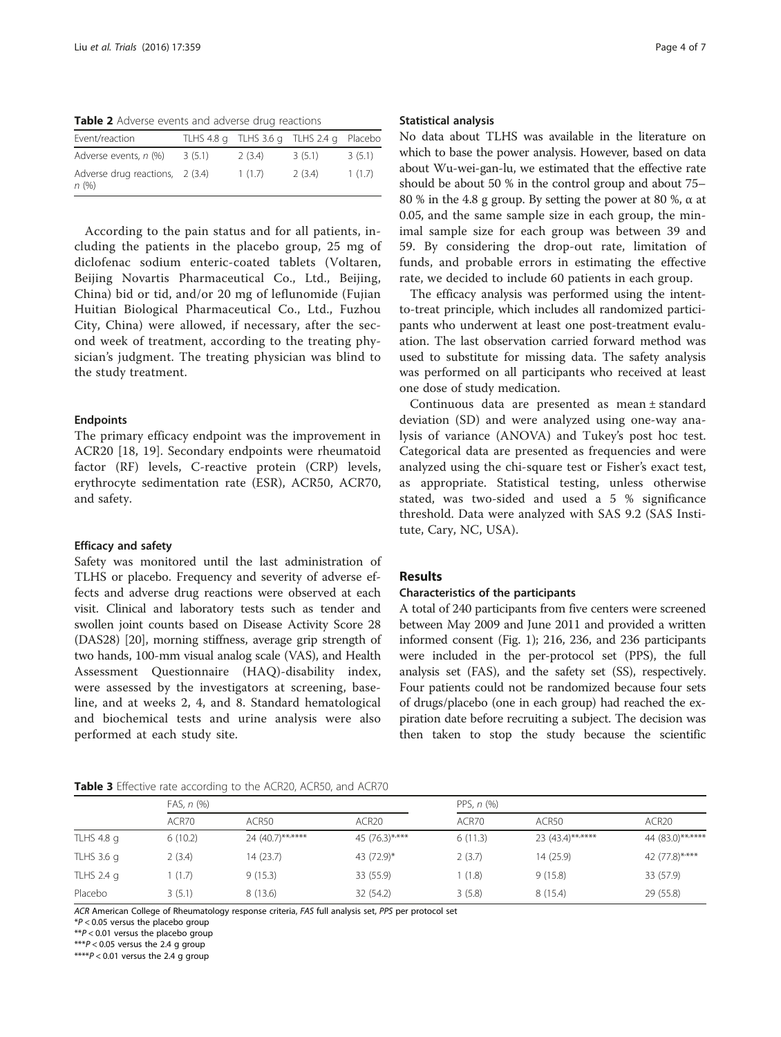<span id="page-3-0"></span>Table 2 Adverse events and adverse drug reactions

| Event/reaction                           |        |        | TLHS 4.8 g TLHS 3.6 g TLHS 2.4 g Placebo |        |
|------------------------------------------|--------|--------|------------------------------------------|--------|
| Adverse events, n (%)                    | 3(5.1) | 2(3.4) | 3(5.1)                                   | 3(5.1) |
| Adverse drug reactions, 2 (3.4)<br>n(96) |        | 1(1.7) | 2(3.4)                                   | 1(1.7) |

According to the pain status and for all patients, including the patients in the placebo group, 25 mg of diclofenac sodium enteric-coated tablets (Voltaren, Beijing Novartis Pharmaceutical Co., Ltd., Beijing, China) bid or tid, and/or 20 mg of leflunomide (Fujian Huitian Biological Pharmaceutical Co., Ltd., Fuzhou City, China) were allowed, if necessary, after the second week of treatment, according to the treating physician's judgment. The treating physician was blind to the study treatment.

## Endpoints

The primary efficacy endpoint was the improvement in ACR20 [\[18](#page-6-0), [19](#page-6-0)]. Secondary endpoints were rheumatoid factor (RF) levels, C-reactive protein (CRP) levels, erythrocyte sedimentation rate (ESR), ACR50, ACR70, and safety.

#### Efficacy and safety

Safety was monitored until the last administration of TLHS or placebo. Frequency and severity of adverse effects and adverse drug reactions were observed at each visit. Clinical and laboratory tests such as tender and swollen joint counts based on Disease Activity Score 28 (DAS28) [\[20\]](#page-6-0), morning stiffness, average grip strength of two hands, 100-mm visual analog scale (VAS), and Health Assessment Questionnaire (HAQ)-disability index, were assessed by the investigators at screening, baseline, and at weeks 2, 4, and 8. Standard hematological and biochemical tests and urine analysis were also performed at each study site.

#### Statistical analysis

No data about TLHS was available in the literature on which to base the power analysis. However, based on data about Wu-wei-gan-lu, we estimated that the effective rate should be about 50 % in the control group and about 75– 80 % in the 4.8 g group. By setting the power at 80 %, α at 0.05, and the same sample size in each group, the minimal sample size for each group was between 39 and 59. By considering the drop-out rate, limitation of funds, and probable errors in estimating the effective rate, we decided to include 60 patients in each group.

The efficacy analysis was performed using the intentto-treat principle, which includes all randomized participants who underwent at least one post-treatment evaluation. The last observation carried forward method was used to substitute for missing data. The safety analysis was performed on all participants who received at least one dose of study medication.

Continuous data are presented as mean ± standard deviation (SD) and were analyzed using one-way analysis of variance (ANOVA) and Tukey's post hoc test. Categorical data are presented as frequencies and were analyzed using the chi-square test or Fisher's exact test, as appropriate. Statistical testing, unless otherwise stated, was two-sided and used a 5 % significance threshold. Data were analyzed with SAS 9.2 (SAS Institute, Cary, NC, USA).

## Results

#### Characteristics of the participants

A total of 240 participants from five centers were screened between May 2009 and June 2011 and provided a written informed consent (Fig. [1\)](#page-2-0); 216, 236, and 236 participants were included in the per-protocol set (PPS), the full analysis set (FAS), and the safety set (SS), respectively. Four patients could not be randomized because four sets of drugs/placebo (one in each group) had reached the expiration date before recruiting a subject. The decision was then taken to stop the study because the scientific

#### Table 3 Effective rate according to the ACR20, ACR50, and ACR70

|            | FAS, $n$ $(\%)$ |                  |                | PPS, $n$ (%) |                  |                   |  |
|------------|-----------------|------------------|----------------|--------------|------------------|-------------------|--|
|            | ACR70           | ACR50            | ACR20          | ACR70        | ACR50            | ACR <sub>20</sub> |  |
| TLHS 4.8 g | 6(10.2)         | 24 (40.7)******* | 45 (76.3)***** | 6(11.3)      | 23 (43.4)******* | 44 (83.0)*******  |  |
| TLHS 3.6 g | 2(3.4)          | 14 (23.7)        | 43 (72.9)*     | 2(3.7)       | 14(25.9)         | 42 (77.8)*****    |  |
| TLHS 2.4 g | 1(1.7)          | 9(15.3)          | 33 (55.9)      | (1.8)        | 9(15.8)          | 33 (57.9)         |  |
| Placebo    | 3(5.1)          | 8(13.6)          | 32 (54.2)      | 3(5.8)       | 8(15.4)          | 29 (55.8)         |  |

ACR American College of Rheumatology response criteria, FAS full analysis set, PPS per protocol set

 $*P < 0.05$  versus the placebo group

 $*p$  < 0.01 versus the placebo group

\*\*\* $P$  < 0.05 versus the 2.4 g group

\*\*\*\* $P < 0.01$  versus the 2.4 g group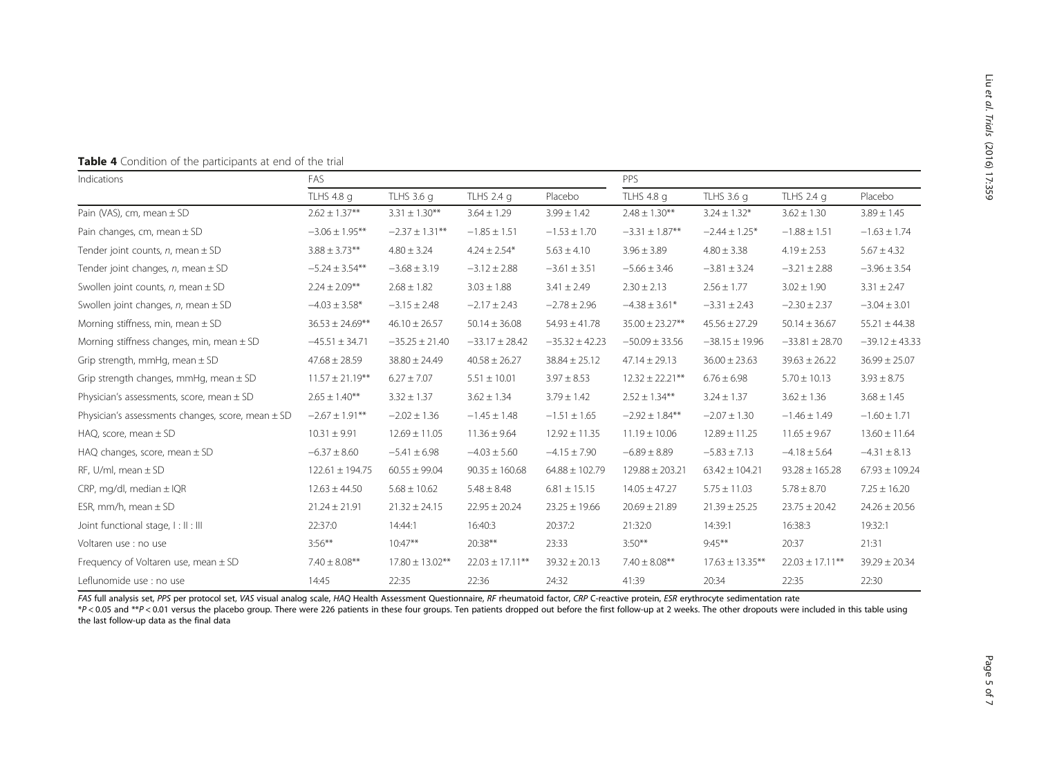<span id="page-4-0"></span>Table 4 Condition of the participants at end of the trial

| Indications                                           | <b>FAS</b>           |                      |                      | <b>PPS</b>         |                      |                      |                      |                    |
|-------------------------------------------------------|----------------------|----------------------|----------------------|--------------------|----------------------|----------------------|----------------------|--------------------|
|                                                       | <b>TLHS 4.8 g</b>    | TLHS 3.6 g           | TLHS 2.4 g           | Placebo            | TLHS 4.8 g           | TLHS 3.6 g           | TLHS 2.4 g           | Placebo            |
| Pain (VAS), cm, mean $\pm$ SD                         | $2.62 \pm 1.37***$   | $3.31 \pm 1.30***$   | $3.64 \pm 1.29$      | $3.99 \pm 1.42$    | $2.48 \pm 1.30***$   | $3.24 \pm 1.32*$     | $3.62 \pm 1.30$      | $3.89 \pm 1.45$    |
| Pain changes, cm, mean $\pm$ SD                       | $-3.06 \pm 1.95***$  | $-2.37 \pm 1.31***$  | $-1.85 \pm 1.51$     | $-1.53 \pm 1.70$   | $-3.31 \pm 1.87$ **  | $-2.44 \pm 1.25*$    | $-1.88 \pm 1.51$     | $-1.63 \pm 1.74$   |
| Tender joint counts, $n$ , mean $\pm$ SD              | $3.88 \pm 3.73$ **   | $4.80 \pm 3.24$      | $4.24 \pm 2.54*$     | $5.63 \pm 4.10$    | $3.96 \pm 3.89$      | $4.80 \pm 3.38$      | $4.19 \pm 2.53$      | $5.67 \pm 4.32$    |
| Tender joint changes, $n$ , mean $\pm$ SD             | $-5.24 \pm 3.54***$  | $-3.68 \pm 3.19$     | $-3.12 \pm 2.88$     | $-3.61 \pm 3.51$   | $-5.66 \pm 3.46$     | $-3.81 \pm 3.24$     | $-3.21 \pm 2.88$     | $-3.96 \pm 3.54$   |
| Swollen joint counts, $n$ , mean $\pm$ SD             | $2.24 \pm 2.09***$   | $2.68 \pm 1.82$      | $3.03 \pm 1.88$      | $3.41 \pm 2.49$    | $2.30 \pm 2.13$      | $2.56 \pm 1.77$      | $3.02 \pm 1.90$      | $3.31 \pm 2.47$    |
| Swollen joint changes, $n$ , mean $\pm$ SD            | $-4.03 \pm 3.58$ *   | $-3.15 \pm 2.48$     | $-2.17 \pm 2.43$     | $-2.78 \pm 2.96$   | $-4.38 \pm 3.61*$    | $-3.31 \pm 2.43$     | $-2.30 \pm 2.37$     | $-3.04 \pm 3.01$   |
| Morning stiffness, min, mean $\pm$ SD                 | $36.53 \pm 24.69***$ | $46.10 \pm 26.57$    | $50.14 \pm 36.08$    | $54.93 \pm 41.78$  | $35.00 \pm 23.27**$  | $45.56 \pm 27.29$    | $50.14 \pm 36.67$    | $55.21 \pm 44.38$  |
| Morning stiffness changes, min, mean $\pm$ SD         | $-45.51 \pm 34.71$   | $-35.25 \pm 21.40$   | $-33.17 \pm 28.42$   | $-35.32 \pm 42.23$ | $-50.09 \pm 33.56$   | $-38.15 \pm 19.96$   | $-33.81 \pm 28.70$   | $-39.12 \pm 43.33$ |
| Grip strength, mmHg, mean $\pm$ SD                    | $47.68 \pm 28.59$    | $38.80 \pm 24.49$    | $40.58 \pm 26.27$    | $38.84 \pm 25.12$  | $47.14 \pm 29.13$    | $36.00 \pm 23.63$    | $39.63 \pm 26.22$    | $36.99 \pm 25.07$  |
| Grip strength changes, mmHg, mean $\pm$ SD            | $11.57 \pm 21.19***$ | $6.27 \pm 7.07$      | $5.51 \pm 10.01$     | $3.97 \pm 8.53$    | $12.32 \pm 22.21***$ | $6.76 \pm 6.98$      | $5.70 \pm 10.13$     | $3.93 \pm 8.75$    |
| Physician's assessments, score, mean $\pm$ SD         | $2.65 \pm 1.40***$   | $3.32 \pm 1.37$      | $3.62 \pm 1.34$      | $3.79 \pm 1.42$    | $2.52 \pm 1.34***$   | $3.24 \pm 1.37$      | $3.62 \pm 1.36$      | $3.68 \pm 1.45$    |
| Physician's assessments changes, score, mean $\pm$ SD | $-2.67 \pm 1.91$ **  | $-2.02 \pm 1.36$     | $-1.45 \pm 1.48$     | $-1.51 \pm 1.65$   | $-2.92 \pm 1.84***$  | $-2.07 \pm 1.30$     | $-1.46 \pm 1.49$     | $-1.60 \pm 1.71$   |
| HAQ, score, mean $\pm$ SD                             | $10.31 \pm 9.91$     | $12.69 \pm 11.05$    | $11.36 \pm 9.64$     | $12.92 \pm 11.35$  | $11.19 \pm 10.06$    | $12.89 \pm 11.25$    | $11.65 \pm 9.67$     | $13.60 \pm 11.64$  |
| HAQ changes, score, mean $\pm$ SD                     | $-6.37 \pm 8.60$     | $-5.41 \pm 6.98$     | $-4.03 \pm 5.60$     | $-4.15 \pm 7.90$   | $-6.89 \pm 8.89$     | $-5.83 \pm 7.13$     | $-4.18 \pm 5.64$     | $-4.31 \pm 8.13$   |
| RF, U/ml, mean $\pm$ SD                               | $122.61 \pm 194.75$  | $60.55 \pm 99.04$    | $90.35 \pm 160.68$   | $64.88 \pm 102.79$ | $129.88 \pm 203.21$  | $63.42 \pm 104.21$   | $93.28 \pm 165.28$   | $67.93 \pm 109.24$ |
| CRP, mg/dl, median $\pm$ IQR                          | $12.63 \pm 44.50$    | $5.68 \pm 10.62$     | $5.48 \pm 8.48$      | $6.81 \pm 15.15$   | $14.05 \pm 47.27$    | $5.75 \pm 11.03$     | $5.78 \pm 8.70$      | $7.25 \pm 16.20$   |
| ESR, $mm/h$ , mean $\pm$ SD                           | $21.24 \pm 21.91$    | $21.32 \pm 24.15$    | $22.95 \pm 20.24$    | $23.25 \pm 19.66$  | $20.69 \pm 21.89$    | $21.39 \pm 25.25$    | $23.75 \pm 20.42$    | $24.26 \pm 20.56$  |
| Joint functional stage, I: II: III                    | 22:37:0              | 14:44:1              | 16:40:3              | 20:37:2            | 21:32:0              | 14:39:1              | 16:38:3              | 19:32:1            |
| Voltaren use : no use                                 | $3:56***$            | $10:47**$            | 20:38**              | 23:33              | $3:50***$            | $9:45***$            | 20:37                | 21:31              |
| Frequency of Voltaren use, mean $\pm$ SD              | $7.40 \pm 8.08***$   | $17.80 \pm 13.02$ ** | $22.03 \pm 17.11***$ | $39.32 \pm 20.13$  | $7.40 \pm 8.08$ **   | $17.63 \pm 13.35***$ | $22.03 \pm 17.11***$ | $39.29 \pm 20.34$  |
| Leflunomide use : no use                              | 14:45                | 22:35                | 22:36                | 24:32              | 41:39                | 20:34                | 22:35                | 22:30              |

FAS full analysis set, PPS per protocol set, VAS visual analog scale, HAQ Health Assessment Questionnaire, RF rheumatoid factor, CRP C-reactive protein, ESR erythrocyte sedimentation rate

\*P < 0.05 and \*\*P < 0.01 versus the placebo group. There were 226 patients in these four groups. Ten patients dropped out before the first follow-up at 2 weeks. The other dropouts were included in this table using the last follow-up data as the final data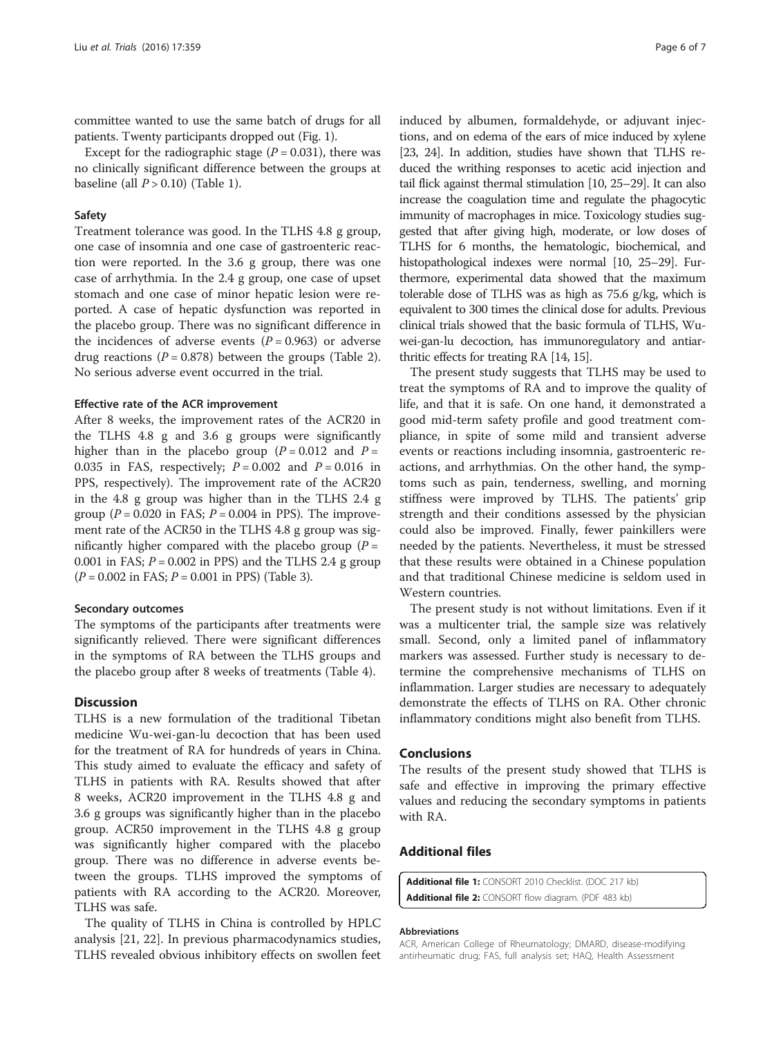<span id="page-5-0"></span>committee wanted to use the same batch of drugs for all patients. Twenty participants dropped out (Fig. [1](#page-2-0)).

Except for the radiographic stage  $(P = 0.031)$ , there was no clinically significant difference between the groups at baseline (all  $P > 0.10$ ) (Table [1\)](#page-2-0).

# Safety

Treatment tolerance was good. In the TLHS 4.8 g group, one case of insomnia and one case of gastroenteric reaction were reported. In the 3.6 g group, there was one case of arrhythmia. In the 2.4 g group, one case of upset stomach and one case of minor hepatic lesion were reported. A case of hepatic dysfunction was reported in the placebo group. There was no significant difference in the incidences of adverse events  $(P = 0.963)$  or adverse drug reactions ( $P = 0.878$ ) between the groups (Table [2](#page-3-0)). No serious adverse event occurred in the trial.

#### Effective rate of the ACR improvement

After 8 weeks, the improvement rates of the ACR20 in the TLHS 4.8 g and 3.6 g groups were significantly higher than in the placebo group  $(P = 0.012$  and  $P =$ 0.035 in FAS, respectively;  $P = 0.002$  and  $P = 0.016$  in PPS, respectively). The improvement rate of the ACR20 in the 4.8 g group was higher than in the TLHS 2.4 g group ( $P = 0.020$  in FAS;  $P = 0.004$  in PPS). The improvement rate of the ACR50 in the TLHS 4.8 g group was significantly higher compared with the placebo group  $(P =$ 0.001 in FAS;  $P = 0.002$  in PPS) and the TLHS 2.4 g group  $(P = 0.002$  in FAS;  $P = 0.001$  in PPS) (Table [3\)](#page-3-0).

#### Secondary outcomes

The symptoms of the participants after treatments were significantly relieved. There were significant differences in the symptoms of RA between the TLHS groups and the placebo group after 8 weeks of treatments (Table [4](#page-4-0)).

# **Discussion**

TLHS is a new formulation of the traditional Tibetan medicine Wu-wei-gan-lu decoction that has been used for the treatment of RA for hundreds of years in China. This study aimed to evaluate the efficacy and safety of TLHS in patients with RA. Results showed that after 8 weeks, ACR20 improvement in the TLHS 4.8 g and 3.6 g groups was significantly higher than in the placebo group. ACR50 improvement in the TLHS 4.8 g group was significantly higher compared with the placebo group. There was no difference in adverse events between the groups. TLHS improved the symptoms of patients with RA according to the ACR20. Moreover, TLHS was safe.

The quality of TLHS in China is controlled by HPLC analysis [\[21](#page-6-0), [22](#page-6-0)]. In previous pharmacodynamics studies, TLHS revealed obvious inhibitory effects on swollen feet induced by albumen, formaldehyde, or adjuvant injections, and on edema of the ears of mice induced by xylene [[23](#page-6-0), [24](#page-6-0)]. In addition, studies have shown that TLHS reduced the writhing responses to acetic acid injection and tail flick against thermal stimulation [[10, 25](#page-6-0)–[29](#page-6-0)]. It can also increase the coagulation time and regulate the phagocytic immunity of macrophages in mice. Toxicology studies suggested that after giving high, moderate, or low doses of TLHS for 6 months, the hematologic, biochemical, and histopathological indexes were normal [\[10, 25](#page-6-0)–[29\]](#page-6-0). Furthermore, experimental data showed that the maximum tolerable dose of TLHS was as high as 75.6 g/kg, which is equivalent to 300 times the clinical dose for adults. Previous clinical trials showed that the basic formula of TLHS, Wuwei-gan-lu decoction, has immunoregulatory and antiarthritic effects for treating RA [\[14, 15\]](#page-6-0).

The present study suggests that TLHS may be used to treat the symptoms of RA and to improve the quality of life, and that it is safe. On one hand, it demonstrated a good mid-term safety profile and good treatment compliance, in spite of some mild and transient adverse events or reactions including insomnia, gastroenteric reactions, and arrhythmias. On the other hand, the symptoms such as pain, tenderness, swelling, and morning stiffness were improved by TLHS. The patients' grip strength and their conditions assessed by the physician could also be improved. Finally, fewer painkillers were needed by the patients. Nevertheless, it must be stressed that these results were obtained in a Chinese population and that traditional Chinese medicine is seldom used in Western countries.

The present study is not without limitations. Even if it was a multicenter trial, the sample size was relatively small. Second, only a limited panel of inflammatory markers was assessed. Further study is necessary to determine the comprehensive mechanisms of TLHS on inflammation. Larger studies are necessary to adequately demonstrate the effects of TLHS on RA. Other chronic inflammatory conditions might also benefit from TLHS.

## **Conclusions**

The results of the present study showed that TLHS is safe and effective in improving the primary effective values and reducing the secondary symptoms in patients with RA.

# Additional files

[Additional file 1:](dx.doi.org/10.1186/s13063-016-1481-3) CONSORT 2010 Checklist. (DOC 217 kb) [Additional file 2:](dx.doi.org/10.1186/s13063-016-1481-3) CONSORT flow diagram. (PDF 483 kb)

#### Abbreviations

ACR, American College of Rheumatology; DMARD, disease-modifying antirheumatic drug; FAS, full analysis set; HAQ, Health Assessment